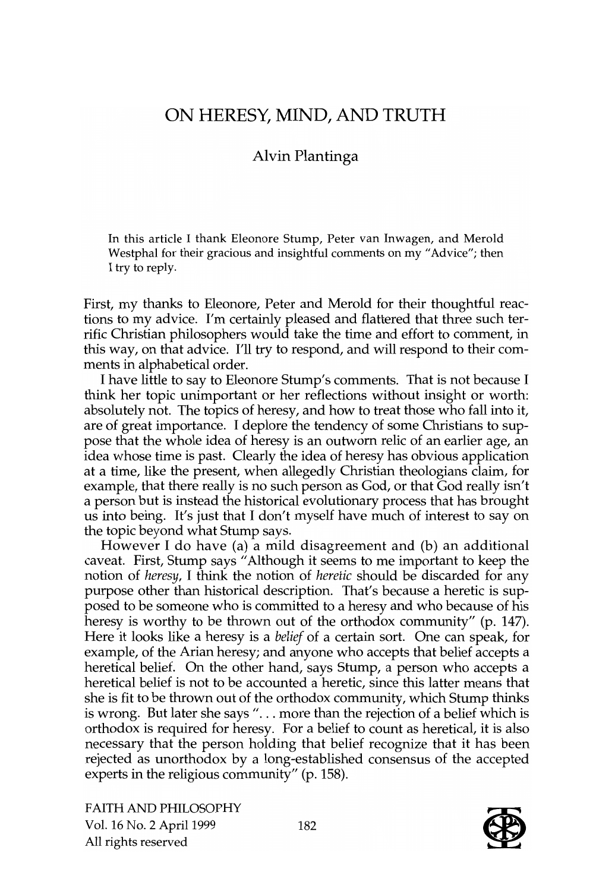## ON HERESY, MIND, AND TRUTH

## Alvin Plantinga

In this article I thank Eleonore Stump, Peter van Inwagen, and Merold Westphal for their gracious and insightful comments on my "Advice"; then I try to reply.

First, my thanks to Eleonore, Peter and Merold for their thoughtful reactions to my advice. I'm certainly pleased and flattered that three such terrific Christian philosophers would take the time and effort to comment, in this way, on that advice. I'll try to respond, and will respond to their comments in alphabetical order.

I have little to say to Eleonore Stump's comments. That is not because I think her topic unimportant or her reflections without insight or worth: absolutely not. The topics of heresy, and how to treat those who fall into it, are of great importance. I deplore the tendency of some Christians to suppose that the whole idea of heresy is an outworn relic of an earlier age, an idea whose time is past. Clearly the idea of heresy has obvious application at a time, like the present, when allegedly Christian theologians claim, for example, that there really is no such person as God, or that God really isn't a person but is instead the historical evolutionary process that has brought us into being. It's just that I don't myself have much of interest to say on the topic beyond what Stump says.

However I do have (a) a mild disagreement and (b) an additional caveat. First, Stump says "Although it seems to me important to keep the notion of *heresy,* I think the notion of *heretic* should be discarded for any purpose other than historical description. That's because a heretic is supposed to be someone who is committed to a heresy and who because of his heresy is worthy to be thrown out of the orthodox community" (p. 147). Here it looks like a heresy is a *belief* of a certain sort. One can speak, for example, of the Arian heresy; and anyone who accepts that belief accepts a heretical belief. On the other hand, says Stump, a person who accepts a heretical belief is not to be accounted a heretic, since this latter means that she is fit to be thrown out of the orthodox community, which Stump thinks is wrong. But later she says "... more than the rejection of a belief which is orthodox is required for heresy. For a belief to count as heretical, it is also necessary that the person holding that belief recognize that it has been rejected as unorthodox by a long-established consensus of the accepted experts in the religious community" (p. 158).

FAITH AND PHILOSOPHY Vol. 16 No.2 April 1999 All rights reserved

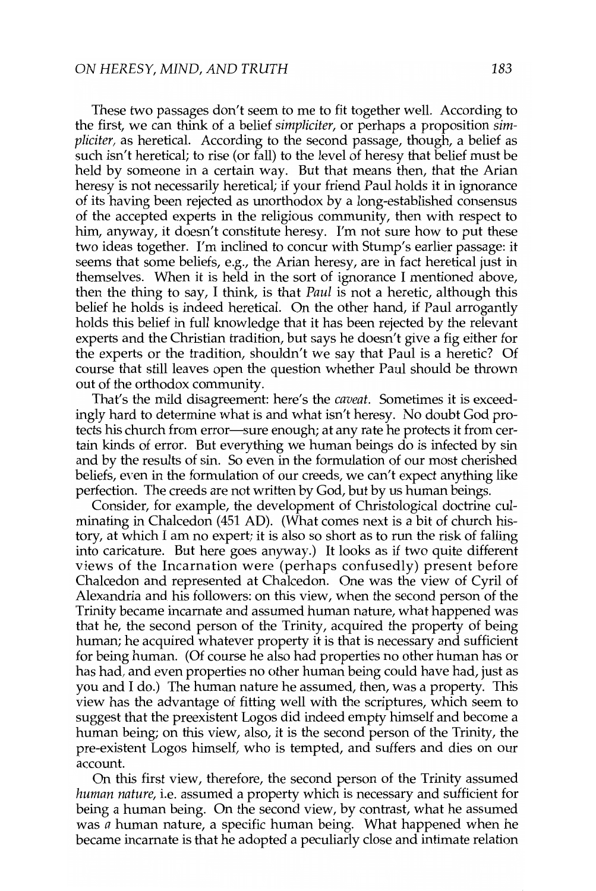These two passages don't seem to me to fit together well. According to the first, we can think of a belief *simpliciter,* or perhaps a proposition *simpliciter,* as heretical. According to the second passage, though, a belief as such isn't heretical; to rise (or fall) to the level of heresy that belief must be held by someone in a certain way. But that means then, that the Arian heresy is not necessarily heretical; if your friend Paul holds it in ignorance of its having been rejected as unorthodox by a long-established consensus of the accepted experts in the religious community, then with respect to him, anyway, it doesn't constitute heresy. I'm not sure how to put these two ideas together. I'm inclined to concur with Stump's earlier passage: it seems that some beliefs, e.g., the Arian heresy, are in fact heretical just in themselves. When it is held in the sort of ignorance I mentioned above, then the thing to say, I think, is that *Paul* is not a heretic, although this belief he holds is indeed heretical. On the other hand, if Paul arrogantly holds this belief in full knowledge that it has been rejected by the relevant experts and the Christian tradition, but says he doesn't give a fig either for the experts or the tradition, shouldn't we say that Paul is a heretic? Of course that still leaves open the question whether Paul should be thrown out of the orthodox community.

That's the mild disagreement: here's the *caveat.* Sometimes it is exceedingly hard to determine what is and what isn't heresy. No doubt God protects his church from error-sure enough; at any rate he protects it from certain kinds of error. But everything we human beings do is infected by sin and by the results of sin. So even in the formulation of our most cherished beliefs, even in the formulation of our creeds, we can't expect anything like perfection. The creeds are not written by God, but by us human beings.

Consider, for example, the development of Christological doctrine culminating in Chalcedon (451 AD). (What comes next is a bit of church history, at which I am no expert; it is also so short as to run the risk of falling into caricature. But here goes anyway.) It looks as if two quite different views of the Incarnation were (perhaps confusedly) present before Chalcedon and represented at Chalcedon. One was the view of Cyril of Alexandria and his followers: on this view, when the second person of the Trinity became incarnate and assumed human nature, what happened was that he, the second person of the Trinity, acquired the property of being human; he acquired whatever property it is that is necessary and sufficient for being human. (Of course he also had properties no other human has or has had, and even properties no other human being could have had, just as you and I do.) The human nature he assumed, then, was a property. This view has the advantage of fitting well with the scriptures, which seem to suggest that the preexistent Logos did indeed empty himself and become a human being; on this view, also, it is the second person of the Trinity, the pre-existent Logos himself, who is tempted, and suffers and dies on our account.

On this first view, therefore, the second person of the Trinity assumed *human nature,* i.e. assumed a property which is necessary and sufficient for being a human being. On the second view, by contrast, what he assumed was *a* human nature, a specific human being. What happened when he became incarnate is that he adopted a peculiarly close and intimate relation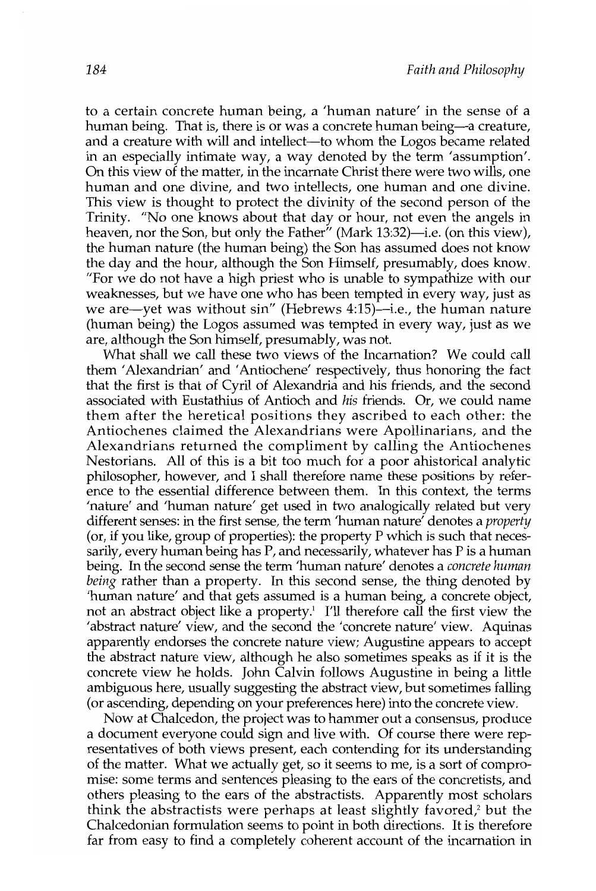to a certain concrete human being, a 'human nature' in the sense of a human being. That is, there is or was a concrete human being—a creature, and a creature with will and intellect—to whom the Logos became related in an especially intimate way, a way denoted by the term 'assumption'. On this view of the matter, in the incarnate Christ there were two wills, one human and one divine, and two intellects, one human and one divine. This view is thought to protect the divinity of the second person of the Trinity. "No one knows about that day or hour, not even the angels in heaven, nor the Son, but only the Father" (Mark 13:32)-i.e. (on this view), the human nature (the human being) the Son has assumed does not know the day and the hour, although the Son Himself, presumably, does know. "For we do not have a high priest who is unable to sympathize with our weaknesses, but we have one who has been tempted in every way, just as we are-yet was without  $sin''$  (Hebrews 4:15)-i.e., the human nature (human being) the Logos assumed was tempted in every way, just as we are, although the Son himself, presumably, was not.

What shall we call these two views of the Incarnation? We could call them' Alexandrian' and' Antiochene' respectively, thus honoring the fact that the first is that of Cyril of Alexandria and his friends, and the second associated with Eustathius of Antioch and *his* friends. Or, we could name them after the heretical positions they ascribed to each other: the Antiochenes claimed the Alexandrians were Apollinarians, and the Alexandrians returned the compliment by calling the Antiochenes Nestorians. All of this is a bit too much for a poor ahistorical analytic philosopher, however, and I shall therefore name these positions by reference to the essential difference between them. In this context, the terms 'nature' and 'human nature' get used in two analogically related but very different senses: in the first sense, the term 'human nature' denotes a *property*  (or, if you like, group of properties): the property P which is such that necessarily, every human being has P, and necessarily, whatever has P is a human being. In the second sense the term 'human nature' denotes a *concrete human being* rather than a property. In this second sense, the thing denoted by 'human nature' and that gets assumed is a human being, a concrete object, not an abstract object like a property.<sup>1</sup> I'll therefore call the first view the 'abstract nature' view, and the second the 'concrete nature' view. Aquinas apparently endorses the concrete nature view; Augustine appears to accept the abstract nature view, although he also sometimes speaks as if it is the concrete view he holds. John Calvin follows Augustine in being a little ambiguous here, usually suggesting the abstract view, but sometimes falling (or ascending, depending on your preferences here) into the concrete view.

Now at Chalcedon, the project was to hammer out a consensus, produce a document everyone could sign and live with. Of course there were representatives of both views present, each contending for its understanding of the matter. What we actually get, so it seems to me, is a sort of compromise: some terms and sentences pleasing to the ears of the concretists, and others pleasing to the ears of the abstractists. Apparently most scholars think the abstractists were perhaps at least slightly favored, $\lambda$  but the Chalcedonian formulation seems to point in both directions. It is therefore far from easy to find a completely coherent account of the incarnation in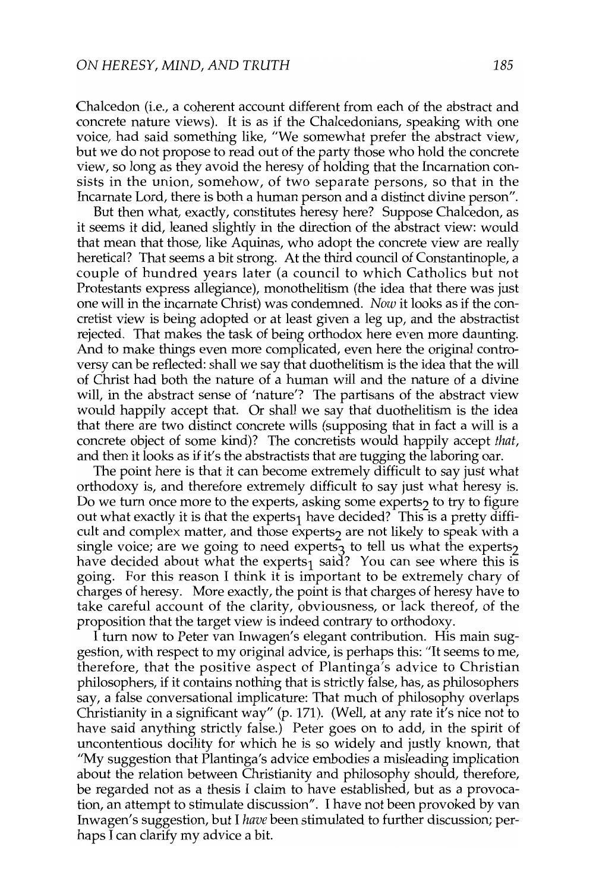Chalcedon (i.e., a coherent account different from each of the abstract and concrete nature views). It is as if the Chalcedonians, speaking with one voice, had said something like, "We somewhat prefer the abstract view, but we do not propose to read out of the party those who hold the concrete view, so long as they avoid the heresy of holding that the Incarnation consists in the union, somehow, of two separate persons, so that in the Incarnate Lord, there is both a human person and a distinct divine person".

But then what, exactly, constitutes heresy here? Suppose Chalcedon, as it seems it did, leaned slightly in the direction of the abstract view: would that mean that those, like Aquinas, who adopt the concrete view are really heretical? That seems a bit strong. At the third council of Constantinople, a couple of hundred years later (a council to which Catholics but not Protestants express allegiance), monothelitism (the idea that there was just one will in the incarnate Christ) was condemned. *Now* it looks as if the concretist view is being adopted or at least given a leg up, and the abstractist rejected. That makes the task of being orthodox here even more daunting. And to make things even more complicated, even here the original controversy can be reflected: shall we say that duothelitism is the idea that the will of Christ had both the nature of a human will and the nature of a divine will, in the abstract sense of 'nature'? The partisans of the abstract view would happily accept that. Or shall we say that duothelitism is the idea that there are two distinct concrete wills (supposing that in fact a will is a concrete object of some kind)? The concretists would happily accept *that,*  and then it looks as if it's the abstractists that are tugging the laboring oar.

The point here is that it can become extremely difficult to say just what orthodoxy is, and therefore extremely difficult to say just what heresy is. Do we turn once more to the experts, asking some experts<sub>2</sub> to try to figure out what exactly it is that the experts<sub>1</sub> have decided? This is a pretty difficult and complex matter, and those experts<sub>2</sub> are not likely to speak with a single voice; are we going to need experts<sub>3</sub> to tell us what the experts<sub>2</sub> have decided about what the experts<sub>1</sub> said? You can see where this is going. For this reason I think it is important to be extremely chary of charges of heresy. More exactly, the point is that charges of heresy have to take careful account of the clarity, obviousness, or lack thereof, of the proposition that the target view is indeed contrary to orthodoxy.

I tum now to Peter van Inwagen's elegant contribution. His main suggestion, with respect to my original advice, is perhaps this: "It seems to me, therefore, that the positive aspect of Plantinga's advice to Christian philosophers, if it contains nothing that is strictly false, has, as philosophers say, a false conversational implicature: That much of philosophy overlaps Christianity in a significant way" (p. 171). (Well, at any rate it's nice not to have said anything strictly false.) Peter goes on to add, in the spirit of uncontentious docility for which he is so widely and justly known, that "My suggestion that Plantinga's advice embodies a misleading implication about the relation between Christianity and philosophy should, therefore, be regarded not as a thesis I claim to have established, but as a provocation, an attempt to stimulate discussion". I have not been provoked by van Inwagen's suggestion, but I *have* been stimulated to further discussion; perhaps I can clarify my advice a bit.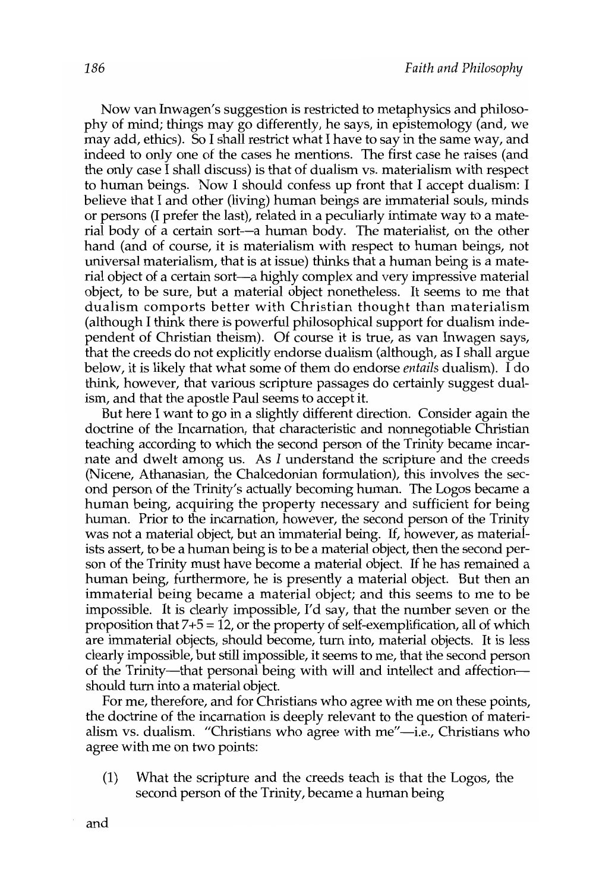Now van Inwagen's suggestion is restricted to metaphysics and philosophy of mind; things may go differently, he says, in epistemology (and, we may add, ethics). So I shall restrict what I have to say in the same way, and indeed to only one of the cases he mentions. The first case he raises (and the only case I shall discuss) is that of dualism vs. materialism with respect to human beings. Now I should confess up front that I accept dualism: I believe that I and other (living) human beings are immaterial souls, minds or persons (I prefer the last), related in a peculiarly intimate way to a material body of a certain sort—a human body. The materialist, on the other hand (and of course, it is materialism with respect to human beings, not universal materialism, that is at issue) thinks that a human being is a material object of a certain sort-a highly complex and very impressive material object, to be sure, but a material object nonetheless. It seems to me that dualism comports better with Christian thought than materialism (although I think there is powerful philosophical support for dualism independent of Christian theism). Of course it is true, as van Inwagen says, that the creeds do not explicitly endorse dualism (although, as 1 shall argue below, it is likely that what some of them do endorse *entails* dualism). I do think, however, that various scripture passages do certainly suggest dualism, and that the apostle Paul seems to accept it.

But here 1 want to go in a slightly different direction. Consider again the doctrine of the Incarnation, that characteristic and nonnegotiable Christian teaching according to which the second person of the Trinity became incarnate and dwelt among us. As I understand the scripture and the creeds (Nicene, Athanasian, the Chalcedonian formulation), this involves the second person of the Trinity's actually becoming human. The Logos became a human being, acquiring the property necessary and sufficient for being human. Prior to the incarnation, however, the second person of the Trinity was not a material object, but an immaterial being. If, however, as materialists assert, to be a human being is to be a material object, then the second person of the Trinity must have become a material object. If he has remained a human being, furthermore, he is presently a material object. But then an immaterial being became a material object; and this seems to me to be impossible. It is clearly impossible, I'd say, that the number seven or the proposition that  $7+5 = 12$ , or the property of self-exemplification, all of which are immaterial objects, should become, tum into, material objects. It is less clearly impossible, but still impossible, it seems to me, that the second person of the Trinity—that personal being with will and intellect and affection should tum into a material object.

For me, therefore, and for Christians who agree with me on these points, the doctrine of the incarnation is deeply relevant to the question of materialism vs. dualism. "Christians who agree with me"-i.e., Christians who agree with me on two points:

(1) What the scripture and the creeds teach is that the Logos, the second person of the Trinity, became a human being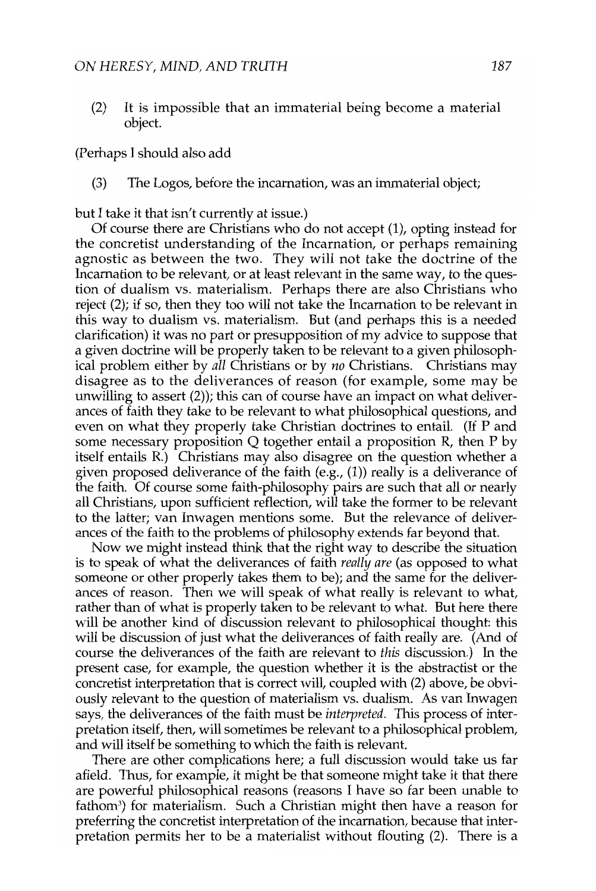(2) It is impossible that an immaterial being become a material object.

(Perhaps I should also add

(3) The Logos, before the incarnation, was an immaterial object;

but I take it that isn't currently at issue.)

Of course there are Christians who do not accept (1), opting instead for the concretist understanding of the Incarnation, or perhaps remaining agnostic as between the two. They will not take the doctrine of the Incarnation to be relevant, or at least relevant in the same way, to the question of dualism vs. materialism. Perhaps there are also Christians who reject (2); if so, then they too will not take the Incarnation to be relevant in this way to dualism vs. materialism. But (and perhaps this is a needed clarification) it was no part or presupposition of my advice to suppose that a given doctrine will be properly taken to be relevant to a given philosophical problem either by *all* Christians or by *no* Christians. Christians may disagree as to the deliverances of reason (for example, some may be unwilling to assert  $(2)$ ); this can of course have an impact on what deliverances of faith they take to be relevant to what philosophical questions, and even on what they properly take Christian doctrines to entail. (If P and some necessary proposition Q together entail a proposition R, then P by itself entails R) Christians may also disagree on the question whether a given proposed deliverance of the faith (e.g., (1)) really is a deliverance of the faith. Of course some faith-philosophy pairs are such that all or nearly all Christians, upon sufficient reflection, will take the former to be relevant to the latter; van Inwagen mentions some. But the relevance of deliverances of the faith to the problems of philosophy extends far beyond that.

Now we might instead think that the right way to describe the situation is to speak of what the deliverances of faith *really are* (as opposed to what someone or other properly takes them to be); and the same for the deliverances of reason. Then we will speak of what really is relevant to what, rather than of what is properly taken to be relevant to what. But here there will be another kind of discussion relevant to philosophical thought: this will be discussion of just what the deliverances of faith really are. (And of course the deliverances of the faith are relevant to *this* discussion.) In the present case, for example, the question whether it is the abstractist or the concretist interpretation that is correct will, coupled with (2) above, be obviously relevant to the question of materialism vs. dualism. As van Inwagen says, the deliverances of the faith must be *interpreted.* This process of interpretation itself, then, will sometimes be relevant to a philosophical problem, and will itself be something to which the faith is relevant.

There are other complications here; a full discussion would take us far afield. Thus, for example, it might be that someone might take it that there are powerful philosophical reasons (reasons I have so far been unable to fathom<sup>3</sup>) for materialism. Such a Christian might then have a reason for preferring the concretist interpretation of the incarnation, because that interpretation permits her to be a materialist without flouting (2). There is a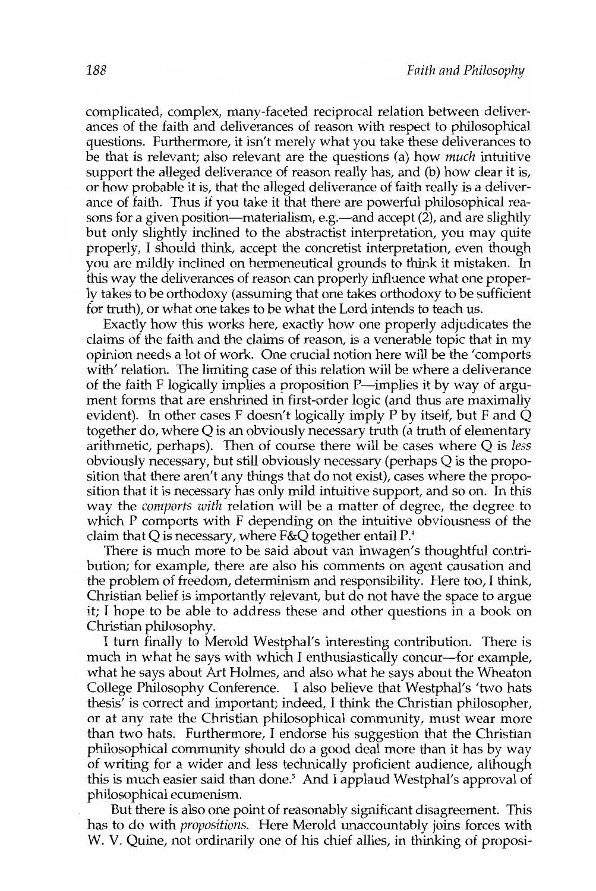complicated, complex, many-faceted reciprocal relation between deliverances of the faith and deliverances of reason with respect to philosophical questions. Furthermore, it isn't merely what you take these deliverances to be that is relevant; also relevant are the questions (a) how *much* intuitive support the alleged deliverance of reason really has, and (b) how clear it is, or how probable it is, that the alleged deliverance of faith really is a deliverance of faith. Thus if you take it that there are powerful philosophical reasons for a given position—materialism, e.g.—and accept (2), and are slightly but only slightly inclined to the abstractist interpretation, you may quite properly, I should think, accept the concretist interpretation, even though you are mildly inclined on hermeneutical grounds to think it mistaken. In this way the deliverances of reason can properly influence what one properly takes to be orthodoxy (assuming that one takes orthodoxy to be sufficient for truth), or what one takes to be what the Lord intends to teach us.

Exactly how this works here, exactly how one properly adjudicates the claims of the faith and the claims of reason, is a venerable topic that in my opinion needs a lot of work. One crucial notion here will be the 'comports with' relation. The limiting case of this relation will be where a deliverance of the faith F logically implies a proposition  $P$ —implies it by way of argument forms that are enshrined in first-order logic (and thus are maximally evident). In other cases F doesn't logically imply P by itself, but F and  $\dot{Q}$ together do, where Q is an obviously necessary truth (a truth of elementary arithmetic, perhaps). Then of course there will be cases where Q is *less*  obviously necessary, but still obviously necessary (perhaps Q is the proposition that there aren't any things that do not exist), cases where the proposition that it is necessary has only mild intuitive support, and so on. In this way the *comports with* relation will be a matter of degree, the degree to which P comports with F depending on the intuitive obviousness of the claim that Q is necessary, where  $F & O$  together entail  $P^4$ .

There is much more to be said about van Inwagen's thoughtful contribution; for example, there are also his comments on agent causation and the problem of freedom, determinism and responsibility. Here too, I think, Christian belief is importantly relevant, but do not have the space to argue it; I hope to be able to address these and other questions in a book on Christian philosophy.

I turn finally to Merold Westphal's interesting contribution. There is much in what he says with which I enthusiastically concur-for example, what he says about Art Holmes, and also what he says about the Wheaton College Philosophy Conference. I also believe that Westphal's 'two hats thesis' is correct and important; indeed, I think the Christian philosopher, or at any rate the Christian philosophical community, must wear more than two hats. Furthermore, I endorse his suggestion that the Christian philosophical community should do a good deal more than it has by way of writing for a wider and less technically proficient audience, although this is much easier said than done.<sup>5</sup> And I applaud Westphal's approval of philosophical ecumenism.

But there is also one point of reasonably significant disagreement. This has to do with *propositions.* Here Merold unaccountably joins forces with W. V. Quine, not ordinarily one of his chief allies, in thinking of proposi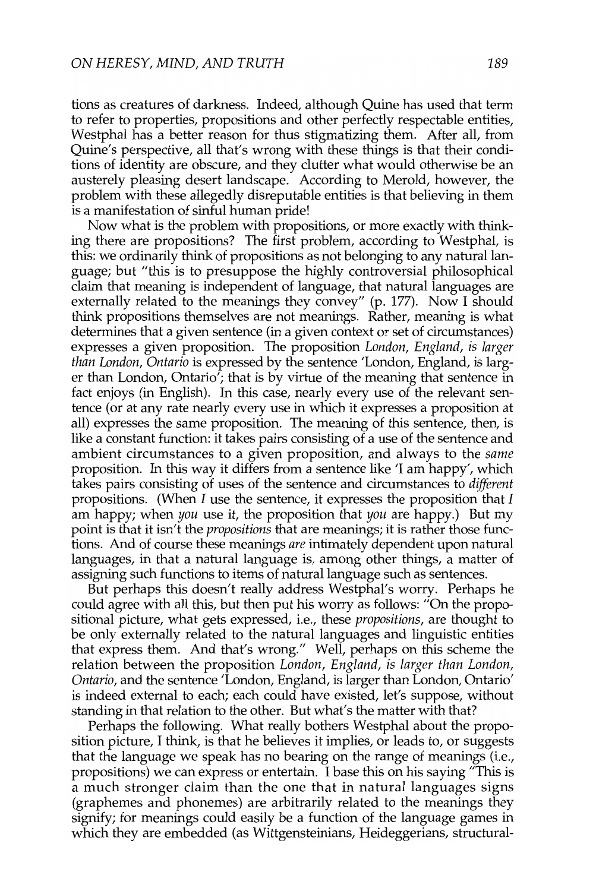tions as creatures of darkness. Indeed, although Quine has used that term to refer to properties, propositions and other perfectly respectable entities, Westphal has a better reason for thus stigmatizing them. After all, from Quine's perspective, all that's wrong with these things is that their conditions of identity are obscure, and they clutter what would otherwise be an austerely pleasing desert landscape. According to Merold, however, the problem with these allegedly disreputable entities is that believing in them is a manifestation of sinful human pride!

Now what is the problem with propositions, or more exactly with thinking there are propositions? The first problem, according to Westphal, is this: we ordinarily think of propositions as not belonging to any natural language; but "this is to presuppose the highly controversial philosophical claim that meaning is independent of language, that natural languages are externally related to the meanings they convey" (p. 177). Now 1 should think propositions themselves are not meanings. Rather, meaning is what determines that a given sentence (in a given context or set of circumstances) expresses a given proposition. The proposition *London, England,* is *larger than London, Ontario* is expressed by the sentence 'London, England, is larger than London, Ontario'; that is by virtue of the meaning that sentence in fact enjoys (in English). In this case, nearly every use of the relevant sentence (or at any rate nearly every use in which it expresses a proposition at all) expresses the same proposition. The meaning of this sentence, then, is like a constant function: it takes pairs consisting of a use of the sentence and ambient circumstances to a given proposition, and always to the *same*  proposition. In this way it differs from a sentence like 'I am happy', which takes pairs consisting of uses of the sentence and circumstances to *different*  propositions. (When I use the sentence, it expresses the proposition that I am happy; when *you* use it, the proposition that *you* are happy.) But my point is that it isn't the *propositions* that are meanings; it is rather those functions. And of course these meanings *are* intimately dependent upon natural languages, in that a natural language is, among other things, a matter of assigning such functions to items of natural language such as sentences.

But perhaps this doesn't really address Westphal's worry. Perhaps he could agree with all this, but then put his worry as follows: "On the propositional picture, what gets expressed, i.e., these *propositions,* are thought to be only externally related to the natural languages and linguistic entities that express them. And that's wrong." Well, perhaps on this scheme the relation between the proposition *London, England,* is *larger than London, Ontario,* and the sentence 'London, England, is larger than London, Ontario' is indeed external to each; each could have existed, let's suppose, without standing in that relation to the other. But what's the matter with that?

Perhaps the following. What really bothers Westphal about the proposition picture, 1 think, is that he believes it implies, or leads to, or suggests that the language we speak has no bearing on the range of meanings (i.e., propositions) we can express or entertain. 1 base this on his saying "This is a much stronger claim than the one that in natural languages signs (graphemes and phonemes) are arbitrarily related to the meanings they signify; for meanings could easily be a function of the language games in which they are embedded (as Wittgensteinians, Heideggerians, structural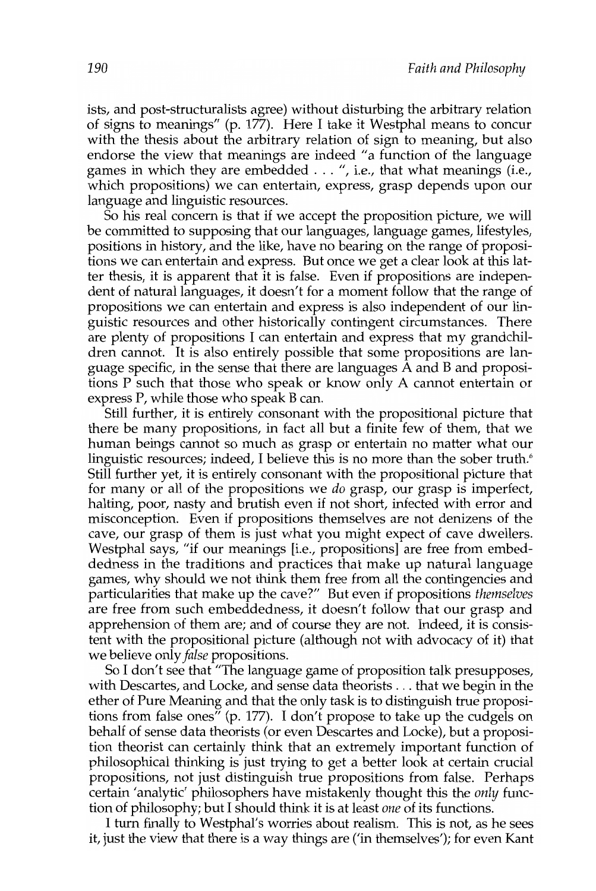ists, and post-structuralists agree) without disturbing the arbitrary relation of signs to meanings" (p. 177). Here I take it Westphal means to concur with the thesis about the arbitrary relation of sign to meaning, but also endorse the view that meanings are indeed "a function of the language games in which they are embedded ... ", i.e., that what meanings (i.e., which propositions) we can entertain, express, grasp depends upon our language and linguistic resources.

So his real concern is that if we accept the proposition picture, we will be committed to supposing that our languages, language games, lifestyles, positions in history, and the like, have no bearing on the range of propositions we can entertain and express. But once we get a clear look at this latter thesis, it is apparent that it is false. Even if propositions are independent of natural languages, it doesn't for a moment follow that the range of propositions we can entertain and express is also independent of our linguistic resources and other historically contingent circumstances. There are plenty of propositions I can entertain and express that my grandchildren cannot. It is also entirely possible that some propositions are language specific, in the sense that there are languages A and B and propositions P such that those who speak or know only A cannot entertain or express P, while those who speak B can.

Still further, it is entirely consonant with the propositional picture that there be many propositions, in fact all but a finite few of them, that we human beings cannot so much as grasp or entertain no matter what our linguistic resources; indeed, I believe this is no more than the sober truth.<sup>6</sup> Still further yet, it is entirely consonant with the propositional picture that for many or all of the propositions we *do* grasp, our grasp is imperfect, halting, poor, nasty and brutish even if not short, infected with error and misconception. Even if propositions themselves are not denizens of the cave, our grasp of them is just what you might expect of cave dwellers. Westphal says, "if our meanings [i.e., propositions] are free from embeddedness in the traditions and practices that make up natural language games, why should we not think them free from all the contingencies and particularities that make up the cave?" But even if propositions *themselves*  are free from such embeddedness, it doesn't follow that our grasp and apprehension of them are; and of course they are not. Indeed, it is consistent with the propositional picture (although not with advocacy of it) that we believe only *false* propositions.

So I don't see that "The language game of proposition talk presupposes, with Descartes, and Locke, and sense data theorists ... that we begin in the ether of Pure Meaning and that the only task is to distinguish true propositions from false ones" (p. 177). I don't propose to take up the cudgels on behalf of sense data theorists (or even Descartes and Locke), but a proposition theorist can certainly think that an extremely important function of philosophical thinking is just trying to get a better look at certain crucial propositions, not just distinguish true propositions from false. Perhaps certain 'analytic' philosophers have mistakenly thought this the *only* function of philosophy; but I should think it is at least *one* of its functions.

I turn finally to Westphal's worries about realism. This is not, as he sees it, just the view that there is a way things are ('in themselves'); for even Kant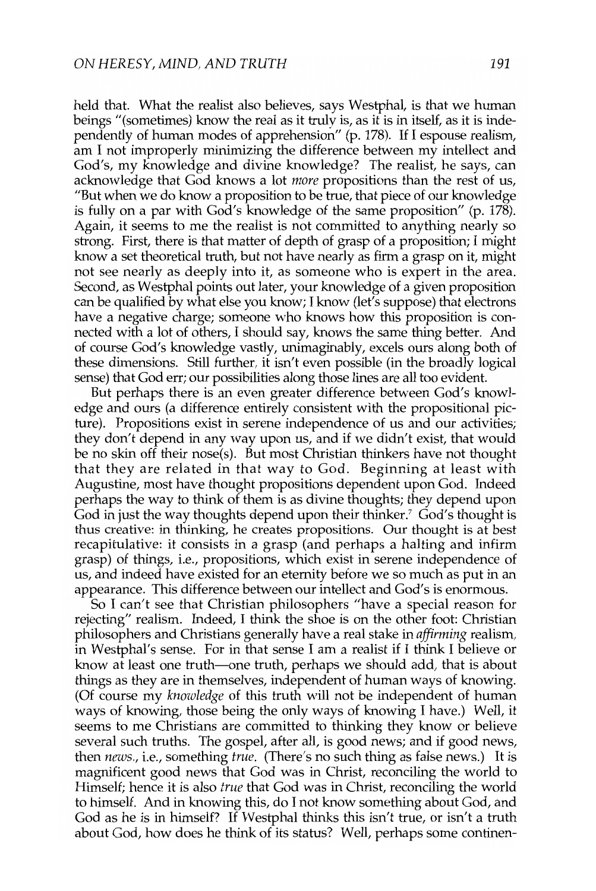held that. What the realist also believes, says Westphal, is that we human beings "(sometimes) know the real as it truly is, as it is in itself, as it is independently of human modes of apprehension" (p. 178). If I espouse realism, am I not improperly minimizing the difference between my intellect and God's, my knowledge and divine knowledge? The realist, he says, can acknowledge that God knows a lot *more* propositions than the rest of us, "But when we do know a proposition to be true, that piece of our knowledge is fully on a par with God's knowledge of the same proposition" (p. 178). Again, it seems to me the realist is not committed to anything nearly so strong. First, there is that matter of depth of grasp of a proposition; I might know a set theoretical truth, but not have nearly as firm a grasp on it, might not see nearly as deeply into it, as someone who is expert in the area. Second, as Westphal points out later, your knowledge of a given proposition can be qualified by what else you know; I know (let's suppose) that electrons have a negative charge; someone who knows how this proposition is connected with a lot of others, I should say, knows the same thing better. And of course God's knowledge vastly, unimaginably, excels ours along both of these dimensions. Still further, it isn't even possible (in the broadly logical sense) that God err; our possibilities along those lines are all too evident.

But perhaps there is an even greater difference between God's knowledge and ours (a difference entirely consistent with the propositional picture). Propositions exist in serene independence of us and our activities; they don't depend in any way upon us, and if we didn't exist, that would be no skin off their nose(s). But most Christian thinkers have not thought that they are related in that way to God. Beginning at least with Augustine, most have thought propositions dependent upon God. Indeed perhaps the way to think of them is as divine thoughts; they depend upon God in just the way thoughts depend upon their thinker.<sup>7</sup> God's thought is thus creative: in thinking, he creates propositions. Our thought is at best recapitulative: it consists in a grasp (and perhaps a halting and infirm grasp) of things, i.e., propositions, which exist in serene independence of us, and indeed have existed for an eternity before we so much as put in an appearance. This difference between our intellect and God's is enormous.

So I can't see that Christian philosophers "have a special reason for rejecting" realism. Indeed, I think the shoe is on the other foot: Christian philosophers and Christians generally have a real stake in *affirming* realism, in Westphal's sense. For in that sense I am a realist if I think I believe or know at least one truth-one truth, perhaps we should add, that is about things as they are in themselves, independent of human ways of knowing. (Of course my *knowledge* of this truth will not be independent of human ways of knowing, those being the only ways of knowing I have.) Well, it seems to me Christians are committed to thinking they know or believe several such truths. The gospel, after all, is good news; and if good news, then *news.,* i.e., something *true.* (There's no such thing as false news.) It is magnificent good news that God was in Christ, reconciling the world to Himself; hence it is also *true* that God was in Christ, reconciling the world to himself. And in knowing this, do I not know something about God, and God as he is in himself? If Westphal thinks this isn't true, or isn't a truth about God, how does he think of its status? Well, perhaps some continen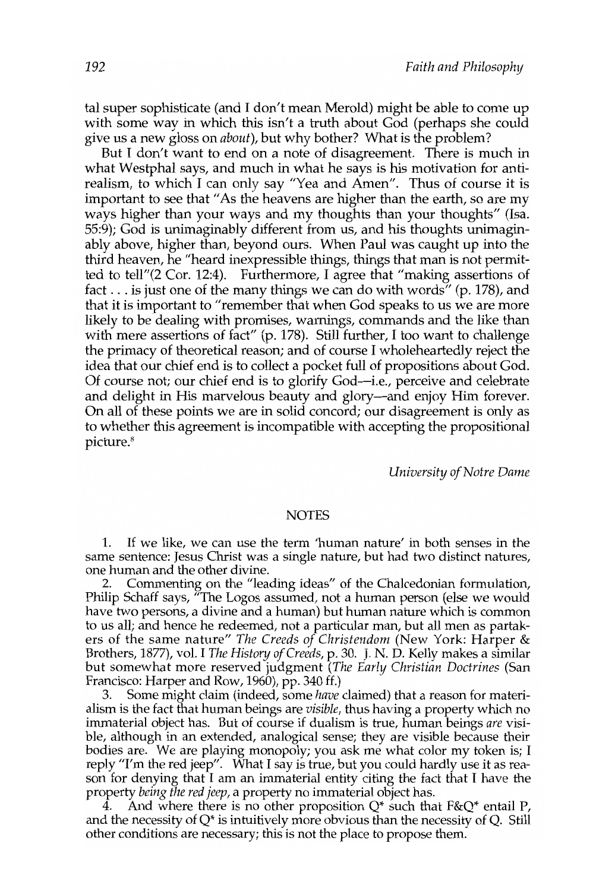tal super sophisticate (and I don't mean Merold) might be able to come up with some way in which this isn't a truth about God (perhaps she could give us a new gloss on *about),* but why bother? What is the problem?

But I don't want to end on a note of disagreement. There is much in what Westphal says, and much in what he says is his motivation for antirealism, to which I can only say "Yea and Amen". Thus of course it is important to see that "As the heavens are higher than the earth, so are my ways higher than your ways and my thoughts than your thoughts" (Isa. 55:9); God is unimaginably different from us, and his thoughts unimaginably above, higher than, beyond ours. When Paul was caught up into the third heaven, he "heard inexpressible things, things that man is not permitted to tell"(2 Cor. 12:4). Furthermore, I agree that "making assertions of fact ... is just one of the many things we can do with words" (p. 178), and that it is important to "remember that when God speaks to us we are more likely to be dealing with promises, warnings, commands and the like than with mere assertions of fact" (p. 178). Still further, I too want to challenge the primacy of theoretical reason; and of course I wholeheartedly reject the idea that our chief end is to collect a pocket full of propositions about God. Of course not; our chief end is to glorify God-i.e., perceive and celebrate and delight in His marvelous beauty and glory—and enjoy Him forever. On all of these points we are in solid concord; our disagreement is only as to whether this agreement is incompatible with accepting the propositional picture.<sup>8</sup>

*University of Notre Dame* 

## NOTES

1. If we like, we can use the term 'human nature' in both senses in the same sentence: Jesus Christ was a single nature, but had two distinct natures, one human and the other divine.

2. Commenting on the "leading ideas" of the Chalcedonian formulation, Philip Schaff says, "The Logos assumed, not a human person (else we would have two persons, a divine and a human) but human nature which is common to us all; and hence he redeemed, not a particular man, but all men as partakers of the same nature" *The Creeds of Christendom* (New York: Harper & Brothers, 1877), vol. I *The History of Creeds,* p. 30. J. N. D. Kelly makes a similar but somewhat more reserved judgment *(The Early Christian Doctrines* (San Francisco: Harper and Row, 1960), pp. 340 ff.)

3. Some might claim (indeed, some *have* claimed) that a reason for materialism is the fact that human beings are *visible,* thus having a property which no immaterial object has. But of course if dualism is true, human beings *are* visible, although in an extended, analogical sense; they are visible because their bodies are. We are playing monopoly; you ask me what color my token is; I reply "I'm the red jeep". What I say is true, but you could hardly use it as reason for denying that I am an immaterial entity citing the fact that I have the property *being the red jeep,* a property no immaterial object has.

And where there is no other proposition  $Q^*$  such that F& $Q^*$  entail P, and the necessity of  $Q^*$  is intuitively more obvious than the necessity of Q. Still other conditions are necessary; this is not the place to propose them.